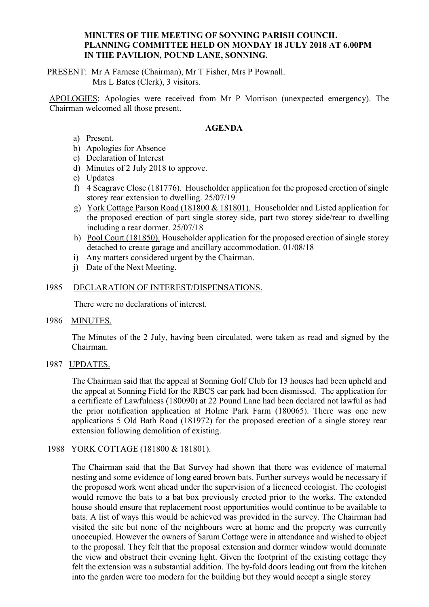#### **MINUTES OF THE MEETING OF SONNING PARISH COUNCIL PLANNING COMMITTEE HELD ON MONDAY 18 JULY 2018 AT 6.00PM IN THE PAVILION, POUND LANE, SONNING.**

PRESENT: Mr A Farnese (Chairman), Mr T Fisher, Mrs P Pownall.

Mrs L Bates (Clerk), 3 visitors.

APOLOGIES: Apologies were received from Mr P Morrison (unexpected emergency). The Chairman welcomed all those present.

### **AGENDA**

- a) Present.
- b) Apologies for Absence
- c) Declaration of Interest
- d) Minutes of 2 July 2018 to approve.
- e) Updates
- f) 4 Seagrave Close (181776). Householder application for the proposed erection of single storey rear extension to dwelling. 25/07/19
- g) York Cottage Parson Road (181800 & 181801). Householder and Listed application for the proposed erection of part single storey side, part two storey side/rear to dwelling including a rear dormer. 25/07/18
- h) Pool Court (181850). Householder application for the proposed erection of single storey detached to create garage and ancillary accommodation. 01/08/18
- i) Any matters considered urgent by the Chairman.
- j) Date of the Next Meeting.

### 1985 DECLARATION OF INTEREST/DISPENSATIONS.

There were no declarations of interest.

1986 MINUTES.

The Minutes of the 2 July, having been circulated, were taken as read and signed by the Chairman.

1987 UPDATES.

The Chairman said that the appeal at Sonning Golf Club for 13 houses had been upheld and the appeal at Sonning Field for the RBCS car park had been dismissed. The application for a certificate of Lawfulness (180090) at 22 Pound Lane had been declared not lawful as had the prior notification application at Holme Park Farm (180065). There was one new applications 5 Old Bath Road (181972) for the proposed erection of a single storey rear extension following demolition of existing.

# 1988 YORK COTTAGE (181800 & 181801).

The Chairman said that the Bat Survey had shown that there was evidence of maternal nesting and some evidence of long eared brown bats. Further surveys would be necessary if the proposed work went ahead under the supervision of a licenced ecologist. The ecologist would remove the bats to a bat box previously erected prior to the works. The extended house should ensure that replacement roost opportunities would continue to be available to bats. A list of ways this would be achieved was provided in the survey. The Chairman had visited the site but none of the neighbours were at home and the property was currently unoccupied. However the owners of Sarum Cottage were in attendance and wished to object to the proposal. They felt that the proposal extension and dormer window would dominate the view and obstruct their evening light. Given the footprint of the existing cottage they felt the extension was a substantial addition. The by-fold doors leading out from the kitchen into the garden were too modern for the building but they would accept a single storey